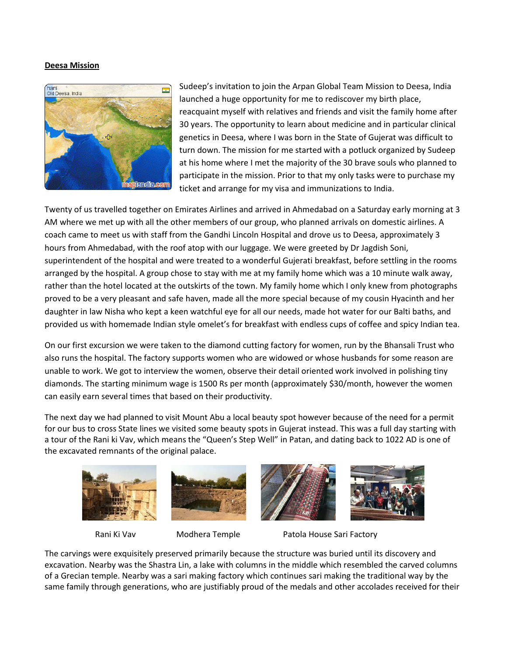## **Deesa Mission**



Sudeep's invitation to join the Arpan Global Team Mission to Deesa, India launched a huge opportunity for me to rediscover my birth place, reacquaint myself with relatives and friends and visit the family home after 30 years. The opportunity to learn about medicine and in particular clinical genetics in Deesa, where I was born in the State of Gujerat was difficult to turn down. The mission for me started with a potluck organized by Sudeep at his home where I met the majority of the 30 brave souls who planned to participate in the mission. Prior to that my only tasks were to purchase my ticket and arrange for my visa and immunizations to India.

Twenty of us travelled together on Emirates Airlines and arrived in Ahmedabad on a Saturday early morning at 3 AM where we met up with all the other members of our group, who planned arrivals on domestic airlines. A coach came to meet us with staff from the Gandhi Lincoln Hospital and drove us to Deesa, approximately 3 hours from Ahmedabad, with the roof atop with our luggage. We were greeted by Dr Jagdish Soni, superintendent of the hospital and were treated to a wonderful Gujerati breakfast, before settling in the rooms arranged by the hospital. A group chose to stay with me at my family home which was a 10 minute walk away, rather than the hotel located at the outskirts of the town. My family home which I only knew from photographs proved to be a very pleasant and safe haven, made all the more special because of my cousin Hyacinth and her daughter in law Nisha who kept a keen watchful eye for all our needs, made hot water for our Balti baths, and provided us with homemade Indian style omelet's for breakfast with endless cups of coffee and spicy Indian tea.

On our first excursion we were taken to the diamond cutting factory for women, run by the Bhansali Trust who also runs the hospital. The factory supports women who are widowed or whose husbands for some reason are unable to work. We got to interview the women, observe their detail oriented work involved in polishing tiny diamonds. The starting minimum wage is 1500 Rs per month (approximately \$30/month, however the women can easily earn several times that based on their productivity.

The next day we had planned to visit Mount Abu a local beauty spot however because of the need for a permit for our bus to cross State lines we visited some beauty spots in Gujerat instead. This was a full day starting with a tour of the Rani ki Vav, which means the "Queen's Step Well" in Patan, and dating back to 1022 AD is one of the excavated remnants of the original palace.









Rani Ki Vav **Modhera Temple** Patola House Sari Factory

The carvings were exquisitely preserved primarily because the structure was buried until its discovery and excavation. Nearby was the Shastra Lin, a lake with columns in the middle which resembled the carved columns of a Grecian temple. Nearby was a sari making factory which continues sari making the traditional way by the same family through generations, who are justifiably proud of the medals and other accolades received for their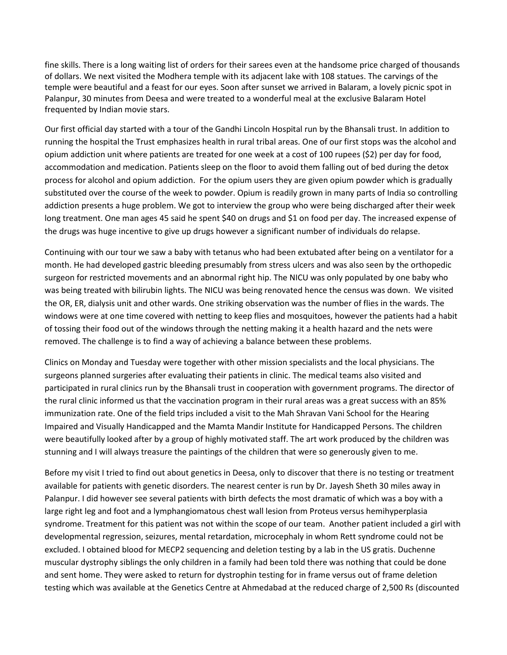fine skills. There is a long waiting list of orders for their sarees even at the handsome price charged of thousands of dollars. We next visited the Modhera temple with its adjacent lake with 108 statues. The carvings of the temple were beautiful and a feast for our eyes. Soon after sunset we arrived in Balaram, a lovely picnic spot in Palanpur, 30 minutes from Deesa and were treated to a wonderful meal at the exclusive Balaram Hotel frequented by Indian movie stars.

Our first official day started with a tour of the Gandhi Lincoln Hospital run by the Bhansali trust. In addition to running the hospital the Trust emphasizes health in rural tribal areas. One of our first stops was the alcohol and opium addiction unit where patients are treated for one week at a cost of 100 rupees (\$2) per day for food, accommodation and medication. Patients sleep on the floor to avoid them falling out of bed during the detox process for alcohol and opium addiction. For the opium users they are given opium powder which is gradually substituted over the course of the week to powder. Opium is readily grown in many parts of India so controlling addiction presents a huge problem. We got to interview the group who were being discharged after their week long treatment. One man ages 45 said he spent \$40 on drugs and \$1 on food per day. The increased expense of the drugs was huge incentive to give up drugs however a significant number of individuals do relapse.

Continuing with our tour we saw a baby with tetanus who had been extubated after being on a ventilator for a month. He had developed gastric bleeding presumably from stress ulcers and was also seen by the orthopedic surgeon for restricted movements and an abnormal right hip. The NICU was only populated by one baby who was being treated with bilirubin lights. The NICU was being renovated hence the census was down. We visited the OR, ER, dialysis unit and other wards. One striking observation was the number of flies in the wards. The windows were at one time covered with netting to keep flies and mosquitoes, however the patients had a habit of tossing their food out of the windows through the netting making it a health hazard and the nets were removed. The challenge is to find a way of achieving a balance between these problems.

Clinics on Monday and Tuesday were together with other mission specialists and the local physicians. The surgeons planned surgeries after evaluating their patients in clinic. The medical teams also visited and participated in rural clinics run by the Bhansali trust in cooperation with government programs. The director of the rural clinic informed us that the vaccination program in their rural areas was a great success with an 85% immunization rate. One of the field trips included a visit to the Mah Shravan Vani School for the Hearing Impaired and Visually Handicapped and the Mamta Mandir Institute for Handicapped Persons. The children were beautifully looked after by a group of highly motivated staff. The art work produced by the children was stunning and I will always treasure the paintings of the children that were so generously given to me.

Before my visit I tried to find out about genetics in Deesa, only to discover that there is no testing or treatment available for patients with genetic disorders. The nearest center is run by Dr. Jayesh Sheth 30 miles away in Palanpur. I did however see several patients with birth defects the most dramatic of which was a boy with a large right leg and foot and a lymphangiomatous chest wall lesion from Proteus versus hemihyperplasia syndrome. Treatment for this patient was not within the scope of our team. Another patient included a girl with developmental regression, seizures, mental retardation, microcephaly in whom Rett syndrome could not be excluded. I obtained blood for MECP2 sequencing and deletion testing by a lab in the US gratis. Duchenne muscular dystrophy siblings the only children in a family had been told there was nothing that could be done and sent home. They were asked to return for dystrophin testing for in frame versus out of frame deletion testing which was available at the Genetics Centre at Ahmedabad at the reduced charge of 2,500 Rs (discounted